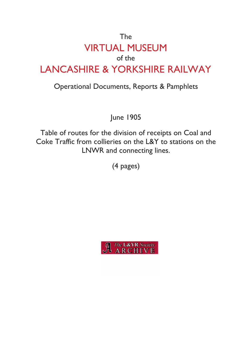## The VIRTUAL MUSEUM of the LANCASHIRE & YORKSHIRE RAILWAY

## Operational Documents, Reports & Pamphlets

June 1905

Table of routes for the division of receipts on Coal and Coke Traffic from collieries on the L&Y to stations on the LNWR and connecting lines.

(4 pages)

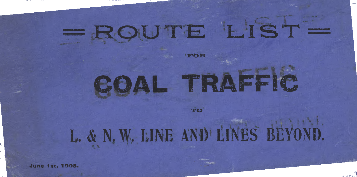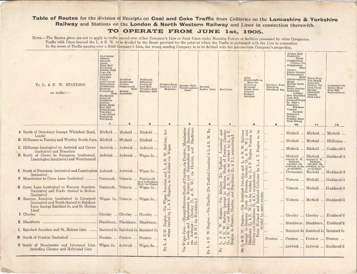Table of Routes for the division of Receipts on Coal and Coke Traffic from Collieries on the Lancashire & Yorkshire **Railway and Stations on the London & North Western Railway and Lines in connection therewith.**

"<sup>I</sup> **<sup>4</sup><sup>s</sup>**

**TO OPERATE FROM JUNE <sup>1</sup>st, <sup>1905</sup>.**

NOTE. The Routes given are not to apply to traffic carried over either Company's Line or Joint Lines under Running Powers or facilities possessed by other Companies. Traffic with Lines beyond the <sup>L</sup>. *&* <sup>N</sup>. <sup>W</sup>. to be divided by the Route provided for the point at which the Traffic is exchanged with the Line in connection. In the event of Traffic passing over a third Company's Line, the wrong sending Company is to be debited with the intermediate Company's proportion.

| To L. & N. W. STATIONS<br>as under :--                                                                                                             | Accrington<br>Altham<br>Agecroft<br>Aspen<br>Bank Hall<br>Baxenden<br>Bradley Fold<br>Copy Pit<br>Cornfield<br>Deerplay<br>Fogg's<br>Great Lever<br>Habergham<br>Hoddlesden<br>Huncoat<br>Linnyshaw<br>Moss<br>Martholme<br>$\begin{array}{c} {\rm Outwood} \\ {\rm Pendleton} \end{array}$<br>Railway<br>Robin Hood<br>Rose Hill<br>Stoneclough<br>Towneley<br><b>Unity Brook</b><br>Waterfoot<br>Wet Earth<br>$\blacksquare$ | <b>Bradford</b><br>Bankhouse<br>Jubilee<br>Butterworth<br>Hall<br>Moston<br>Stockfield.<br>$\overline{2}$ | Weldbank<br>Ellesmere<br>Peelwood<br>Peel Hall<br>Wharton Hall<br>Bispham Hall<br>$\mathbf{3}$ | Douglas Bank<br>Newtown and<br>Meadows.<br>4 | Snydale Hall<br>Westhoughton<br>(New)<br>5                                           | Hewlett<br>Ladies' Lane<br>6            | Scot Lane<br>$\overline{\mathbf{z}}$                                                                                       | Arley<br>Bickerstaffe or<br>Moss Pit<br>Glenburn<br>Mossfield<br>White Moss<br>Victoria<br>Holland<br>Rainford<br>8                                                        | Duxbury Park<br>Ellerbeck<br>Grindford Bar<br>9 | Ackton Hall<br>$\begin{array}{c} \rm{Chickenly} \\ \rm{Heath} \end{array}$<br>Crigglestone<br>Colliery Co.<br>Crigglestone<br>Main<br>Darton<br>Denby Grange<br>Featherstone<br>Glasshoughton<br>Glasshoughton<br>Haigh<br><b>Hartley Bank</b><br>Manor<br>North Gawber<br>Netherton<br>Colliery<br>New Sharlston<br>Park Hill<br>Prince of Wales<br>St. John's<br>Stanhope<br>Silkstone<br>Victoria<br>Snydale<br>Whitwood<br>Woolley<br>Woolley Moor<br>West Riding<br>10 | <b>Three Nuns</b><br>Nun Brook<br>Dymonds<br>Pasture Pit<br>Park Farm<br>Stanley<br>Thorhhill<br>Victoria<br>Dark Lane<br>11 | Cumberworth<br>Emley Moor<br>Nortonthorpe<br>12                                                        |
|----------------------------------------------------------------------------------------------------------------------------------------------------|--------------------------------------------------------------------------------------------------------------------------------------------------------------------------------------------------------------------------------------------------------------------------------------------------------------------------------------------------------------------------------------------------------------------------------|-----------------------------------------------------------------------------------------------------------|------------------------------------------------------------------------------------------------|----------------------------------------------|--------------------------------------------------------------------------------------|-----------------------------------------|----------------------------------------------------------------------------------------------------------------------------|----------------------------------------------------------------------------------------------------------------------------------------------------------------------------|-------------------------------------------------|-----------------------------------------------------------------------------------------------------------------------------------------------------------------------------------------------------------------------------------------------------------------------------------------------------------------------------------------------------------------------------------------------------------------------------------------------------------------------------|------------------------------------------------------------------------------------------------------------------------------|--------------------------------------------------------------------------------------------------------|
| A North of Dewsbury (except Whitehall Road,                                                                                                        |                                                                                                                                                                                                                                                                                                                                                                                                                                |                                                                                                           | Mirfield  Mirfield  Mirfield                                                                   | but                                          |                                                                                      | $\rm\thinspace Ry$                      | id <sub>0</sub>                                                                                                            | 64<br>be                                                                                                                                                                   |                                                 |                                                                                                                                                                                                                                                                                                                                                                                                                                                                             |                                                                                                                              |                                                                                                        |
| Leeds)                                                                                                                                             |                                                                                                                                                                                                                                                                                                                                                                                                                                |                                                                                                           |                                                                                                |                                              | Branches,<br>Blackburn<br>Manches                                                    | W.                                      | and<br>Chorl                                                                                                               | $\overline{W}$ , and<br>$_{60}$                                                                                                                                            | .                                               |                                                                                                                                                                                                                                                                                                                                                                                                                                                                             | Mirfield  Mirfield  Mirfield                                                                                                 |                                                                                                        |
| B Hillhouse to Farnley and Wortley South Junc. Mirfield  Mirfield  Mirfield                                                                        |                                                                                                                                                                                                                                                                                                                                                                                                                                |                                                                                                           |                                                                                                | Railway,                                     | $\overline{d}$                                                                       | ż<br>$\infty$                           | unction)<br>$\tilde{\mathcal{K}}$ q                                                                                        | Preston                                                                                                                                                                    |                                                 |                                                                                                                                                                                                                                                                                                                                                                                                                                                                             | Mirfield  Mirfield  Hillhouse                                                                                                |                                                                                                        |
| C Hillhouse (exclusive) to Ardwick and Crewe<br>(inclusive) and Branches                                                                           |                                                                                                                                                                                                                                                                                                                                                                                                                                |                                                                                                           | Ardwick  Ardwick  Ardwick                                                                      | igan.                                        | and<br>$\mathbf{m}$                                                                  | $&$ L.                                  | ⊢                                                                                                                          | Engine<br>$\frac{W}{N}$ .                                                                                                                                                  | $\cdots$                                        | Mirfield                                                                                                                                                                                                                                                                                                                                                                                                                                                                    |                                                                                                                              | Mirfield  Huddersfi'd                                                                                  |
| D South of Crewe to Nuneaton (exclusive),<br>Leamington (exclusive) and West thereof                                                               |                                                                                                                                                                                                                                                                                                                                                                                                                                |                                                                                                           | Ardwick  Ardwick  Wigan Jc                                                                     | $\overline{\aleph}$<br>8 <sup>2</sup>        | Macclesfield<br>Chorley                                                              | (De Trafford Junction)                  | Trafford<br>đ<br>orth                                                                                                      | Engine<br>$Z_{8}$<br>Y.<br>S,<br>ž,                                                                                                                                        |                                                 | Mirfield<br>(except G. W.<br>Stations,<br>labelled via<br>Ardwick, to be                                                                                                                                                                                                                                                                                                                                                                                                    |                                                                                                                              | Mirfield  Huddersfi'd<br>(except G. W.<br>Stations, a<br>abelled via<br>Ardwick, to be<br>so divided). |
| E South of Nuneaton (inclusive) and Leamington Ardwick  Ardwick<br>(inclusive)                                                                     |                                                                                                                                                                                                                                                                                                                                                                                                                                |                                                                                                           | Wigan Jc                                                                                       | ਰ ਰੌ                                         | via                                                                                  |                                         | SC                                                                                                                         | $\begin{array}{l} \text{ion and}\\ \text{Chorley}\\ \text{by L. & \& \end{array}$                                                                                          |                                                 | so divided).<br>Doncaster.                                                                                                                                                                                                                                                                                                                                                                                                                                                  |                                                                                                                              | Mirfield  Huddersfi'd                                                                                  |
| F Manchester to Cross Lane (inclusive)  Patricroft Victoria                                                                                        |                                                                                                                                                                                                                                                                                                                                                                                                                                |                                                                                                           | Patricroft<br>exc'pt Bispham                                                                   |                                              | bug<br>y<br>of Pres                                                                  |                                         | (De                                                                                                                        | unction<br>Collieries                                                                                                                                                      | $\cdots$                                        |                                                                                                                                                                                                                                                                                                                                                                                                                                                                             | Victoria  Mirfield  Huddersfi'd                                                                                              |                                                                                                        |
| G Cross Lane (exclusive) to Kenyon Junction Patricroft Victoria  Wigan Jc<br>(inclusive) and North thereof to Bolton<br>(inclusive)                |                                                                                                                                                                                                                                                                                                                                                                                                                                |                                                                                                           | Hall via Wigan)                                                                                | Junction<br>Vigan Juncuon<br>X. Engine, to l | $\begin{array}{c}\text{Notu.}\\ \text{Buton a}\\ k\ \text{N.}\ \text{W.}\end{array}$ |                                         | $\begin{array}{c}\n\text{Hindley} \\ \text{to} \\ \text{Stations} \\ \text{L.} \& \text{N.} \\ \text{W}\n\end{array}$<br>E | respectively)<br>ton,                                                                                                                                                      |                                                 |                                                                                                                                                                                                                                                                                                                                                                                                                                                                             | Victoria  Mirfield  Huddersfi'd                                                                                              |                                                                                                        |
| <b>H</b> Kenyon Junction (exclusive) to Liverpool<br>(inclusive) and North thereof to Balshaw<br>Lane (except Rainford Jc. and St. Helens<br>Line) |                                                                                                                                                                                                                                                                                                                                                                                                                                |                                                                                                           | Wigan Jc., Victoria  Wigan Jc                                                                  | N<br>W<br>ia                                 | 64<br>Blackburn.<br>aster<br>Chorley                                                 | Via Hindley                             | y (except<br>lackburn (<br>Via<br>Chorley                                                                                  | Rainford<br>$\overline{Q}$<br>and<br>urn                                                                                                                                   |                                                 |                                                                                                                                                                                                                                                                                                                                                                                                                                                                             | Victoria  Mirfield  Huddersfi'd                                                                                              |                                                                                                        |
|                                                                                                                                                    |                                                                                                                                                                                                                                                                                                                                                                                                                                |                                                                                                           |                                                                                                |                                              |                                                                                      |                                         | Engine.                                                                                                                    |                                                                                                                                                                            |                                                 |                                                                                                                                                                                                                                                                                                                                                                                                                                                                             | Chorley  Chorley                                                                                                             | Huddersf'd                                                                                             |
|                                                                                                                                                    |                                                                                                                                                                                                                                                                                                                                                                                                                                |                                                                                                           |                                                                                                |                                              | via<br>್ರ                                                                            | ngine.                                  | Railwing.<br>Pand<br>Reston,                                                                                               | Blackb<br>Holland<br>ided by                                                                                                                                               |                                                 |                                                                                                                                                                                                                                                                                                                                                                                                                                                                             | Blackburn. Blackburn. Huddersf'd                                                                                             |                                                                                                        |
| L Rainford Junction and St. Helens Line  Rainford Jc Rainford Jc Rainford Jc                                                                       |                                                                                                                                                                                                                                                                                                                                                                                                                                |                                                                                                           |                                                                                                | Hд<br>$\frac{\text{N.W.}}{\text{when}}$      | Jun<br>wpx                                                                           | W.E                                     | $\mathbf{C}$                                                                                                               |                                                                                                                                                                            |                                                 |                                                                                                                                                                                                                                                                                                                                                                                                                                                                             | Rainford Jc Rainford Jc Rainford Jc                                                                                          |                                                                                                        |
| M North of Preston (inclusive)                                                                                                                     |                                                                                                                                                                                                                                                                                                                                                                                                                                |                                                                                                           | Preston  Preston  Preston                                                                      | Z                                            | $\rm{Wigan}$<br>&                                                                    | Z                                       | $L. \begin{array}{c} \text{A} \\ \text{B} \\ \text{C} \\ \text{B} \\ \text{B} \\ \text{m} \\ \text{gine} \end{array}$      |                                                                                                                                                                            |                                                 |                                                                                                                                                                                                                                                                                                                                                                                                                                                                             | Preston  Preston  Preston  Preston                                                                                           |                                                                                                        |
| N South of Manchester and Liverpool Line<br>including Chester and Holyhead Line                                                                    |                                                                                                                                                                                                                                                                                                                                                                                                                                |                                                                                                           | Wigan Jc. Ardwick  Wigan Jc                                                                    | ц.<br>$\mathbf{B} \mathbf{A}$                | $S$ $\ddot{H}$<br>Via                                                                | $\mathcal{S}$<br>$\mathbf{B}\mathbf{y}$ | By                                                                                                                         | $\frac{L}{\cos(\theta)}$<br>$\frac{L}{\cos(\theta)}$<br>$\frac{L}{\cos(\theta)}$<br>$\frac{L}{\cos(\theta)}$<br>$\frac{L}{\cos(\theta)}$<br>$\frac{L}{\cos(\theta)}$<br>By | $\cdots$                                        |                                                                                                                                                                                                                                                                                                                                                                                                                                                                             | Ardwick  Ardwick  Huddersfi'd                                                                                                |                                                                                                        |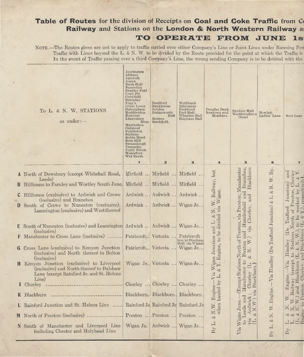## **Table of Routes** for the division of Receipts on **Coal and Coke Traffic** from C< **Railway** and Stations on the **London & North Western Railway** ai **TO OPERATE FROM JUNE Is**

NOTE.—The Routes given are not to apply to traffic carried over either Company's Line or Joint Lines under Running Pow Traffic with Lines beyond the L. & N. W. to be divided by the Route provided for the point at which the Traffic is In the event of Traffic passing over a third Company's Line, the wrong sending Company is to be debited with the

«

| To L. & N. W. STATIONS<br>as under: $-$                                                                                                            | Accrington<br>Altham<br>Agecroft<br>Aspen<br>Bank Hall<br>Baxenden<br>Bradley Fold<br>Copy Pit<br>Cornfield<br>Deerplay<br>Fogg's<br>Great Lever<br>Habergham<br>Hoddlesden<br>Huncoat<br>Linnyshaw<br>Moss<br>Martholme<br>Outwood<br>Pendleton<br>Railway<br>Robin Hood<br>Rose Hill<br>Stoneclough<br>Towneley<br><b>Unity Brook</b><br>Waterfoot<br>Wet Earth<br>$\mathbf{1}$ | <b>Bradford</b><br>Bankhouse<br>Jubilee<br>Butterworth<br>Hall<br>Moston<br>Stockfield.<br>$\overline{2}$ | Weldbank<br>Ellesmere<br>Peelwood<br>Peel Hall<br>Wharton Hall<br>Bispham Hall<br>$\overline{\mathbf{3}}$ | Douglas Bank<br>Newtown and<br>Meadows.<br>$\overline{\mathbf{4}}$ | Snydale Hall<br>Westhoughton<br>(New)<br>5                                                                                                                                                    | ${\bf Hew}$ lett<br>Ladies' Lane<br>6      | Scot Lane<br>$\overline{7}$                |
|----------------------------------------------------------------------------------------------------------------------------------------------------|-----------------------------------------------------------------------------------------------------------------------------------------------------------------------------------------------------------------------------------------------------------------------------------------------------------------------------------------------------------------------------------|-----------------------------------------------------------------------------------------------------------|-----------------------------------------------------------------------------------------------------------|--------------------------------------------------------------------|-----------------------------------------------------------------------------------------------------------------------------------------------------------------------------------------------|--------------------------------------------|--------------------------------------------|
| A North of Dewsbury (except Whitehall Road,                                                                                                        |                                                                                                                                                                                                                                                                                                                                                                                   | Mirfield  Mirfield  Mirfield                                                                              |                                                                                                           | but                                                                |                                                                                                                                                                                               |                                            | ley                                        |
| Leeds)<br>Hillhouse to Farnley and Wortley South June. Mirfield  Mirfield  Mirfield                                                                |                                                                                                                                                                                                                                                                                                                                                                                   |                                                                                                           |                                                                                                           |                                                                    | Blackburn                                                                                                                                                                                     | W. Ry.                                     | and<br>Chorl                               |
|                                                                                                                                                    |                                                                                                                                                                                                                                                                                                                                                                                   |                                                                                                           |                                                                                                           |                                                                    |                                                                                                                                                                                               | $\overline{z}$                             | $\overline{\mathcal{S}}$                   |
| C Hillhouse (exclusive) to Ardwick and Crewe<br>(inclusive) and Branches                                                                           |                                                                                                                                                                                                                                                                                                                                                                                   | Ardwick  Ardwick  Ardwick                                                                                 |                                                                                                           | . W. Railway,<br>igan.                                             |                                                                                                                                                                                               | $\mathbf{L}.\,\&$                          | $J$ unction $)$<br>Preston,                |
| D South of Crewe to Nuneaton (exclusive),<br>Leamington (exclusive) and West thereof                                                               |                                                                                                                                                                                                                                                                                                                                                                                   | Ardwick  Ardwick  Wigan Jc                                                                                |                                                                                                           | via<br>Z<br>ż                                                      | Chorley,                                                                                                                                                                                      | (De Trafford Junction) $\&$                | worked<br>Trafford<br>orth of<br>be        |
| <b>E</b> South of Nuneaton (inclusive) and Leamington Ardwick  Ardwick  Wigan Je                                                                   |                                                                                                                                                                                                                                                                                                                                                                                   |                                                                                                           |                                                                                                           |                                                                    |                                                                                                                                                                                               |                                            | $\overline{c}$                             |
| (inclusive)<br>Manchester to Cross Lane (inclusive)  Patricroft Victoria  Patricroft                                                               |                                                                                                                                                                                                                                                                                                                                                                                   |                                                                                                           |                                                                                                           |                                                                    | and $\frac{1}{\nu}$                                                                                                                                                                           |                                            | (De                                        |
| G Cross Lane (exclusive) to Kenyon Junction<br>(inclusive) and North thereof to Bolton<br>(inclusive)                                              |                                                                                                                                                                                                                                                                                                                                                                                   | Patricroft Victoria  Wigan Jc                                                                             | (exc'pt Bispham<br>Hall via Wigan)                                                                        | Engine, to be divided<br>Wigan Junction and                        |                                                                                                                                                                                               |                                            | Stations<br>Hindley<br>z<br>$\overline{t}$ |
| <b>H</b> Kenyon Junction (exclusive) to Liverpool<br>(inclusive) and North thereof to Balshaw<br>Lane (except Rainford Jc. and St. Helens<br>Line) |                                                                                                                                                                                                                                                                                                                                                                                   | Wigan Je., Victoria  Wigan Je                                                                             |                                                                                                           | 2<br>Via<br>ŗ.                                                     | Except Stations North of Preston, via Preston; Manchester<br>Manchester to Buxton and Macclesfield and Branches,<br>Chorley (L. & N. W.) via Chorley, and Blackburn<br>Blackburn.)<br>Chorley | Hindley<br>Via                             | except<br>Blackburn<br>$-V$ ia<br>Chor     |
| Chorley                                                                                                                                            |                                                                                                                                                                                                                                                                                                                                                                                   | Chorley  Chorley  Chorley                                                                                 |                                                                                                           | ΔĀ                                                                 |                                                                                                                                                                                               |                                            | Engine.<br>Railway                         |
| <b>K</b> Blackburn                                                                                                                                 |                                                                                                                                                                                                                                                                                                                                                                                   | Blackburn. Blackburn. Blackburn                                                                           |                                                                                                           | Kngine.<br>hauled b                                                | via<br>Id                                                                                                                                                                                     | ngine.                                     | and<br>$\geq$                              |
| L Rainford Junction and St. Helens Line  Rainford Jc Rainford Jc Rainford Jc                                                                       |                                                                                                                                                                                                                                                                                                                                                                                   |                                                                                                           |                                                                                                           | N.W.<br>when                                                       | $\frac{\text{Ardwick}}{\text{A}(\text{W})}$                                                                                                                                                   | 띠<br>$\triangleright$                      | N<br>to                                    |
| M North of Preston (inclusive)                                                                                                                     |                                                                                                                                                                                                                                                                                                                                                                                   | Preston  Preston  Preston                                                                                 |                                                                                                           | ż                                                                  | to Leeds ar<br>Wigan June<br>&                                                                                                                                                                | Z                                          | ZZZ<br>8888                                |
| N South of Manchester and Liverpool Line<br>including Chester and Holyhead Line                                                                    |                                                                                                                                                                                                                                                                                                                                                                                   | Wigan Je. Ardwick  Wigan Je                                                                               |                                                                                                           | $\mathbf{By}\ \mathbf{L}.$                                         | via<br>(L.<br>Via                                                                                                                                                                             | $\approx$<br>ij.<br>$\mathbf{B}\mathbf{y}$ | 上白色<br>$\mathbf{B}\mathbf{y}$              |